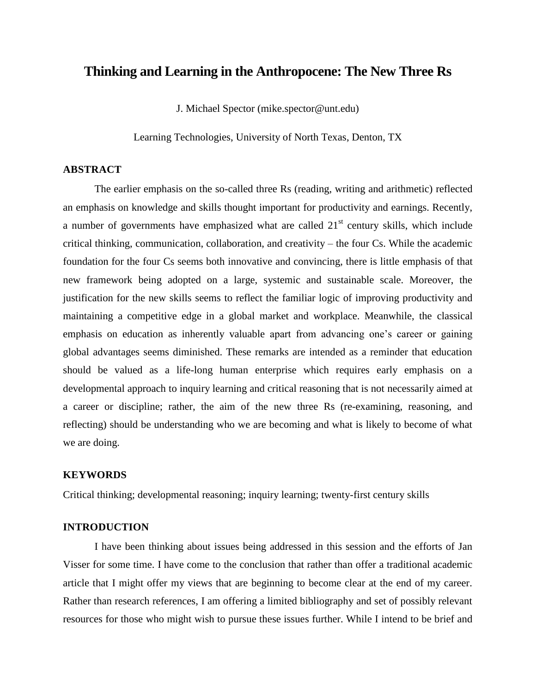# **Thinking and Learning in the Anthropocene: The New Three Rs**

J. Michael Spector (mike.spector@unt.edu)

Learning Technologies, University of North Texas, Denton, TX

## **ABSTRACT**

The earlier emphasis on the so-called three Rs (reading, writing and arithmetic) reflected an emphasis on knowledge and skills thought important for productivity and earnings. Recently, a number of governments have emphasized what are called  $21<sup>st</sup>$  century skills, which include critical thinking, communication, collaboration, and creativity – the four Cs. While the academic foundation for the four Cs seems both innovative and convincing, there is little emphasis of that new framework being adopted on a large, systemic and sustainable scale. Moreover, the justification for the new skills seems to reflect the familiar logic of improving productivity and maintaining a competitive edge in a global market and workplace. Meanwhile, the classical emphasis on education as inherently valuable apart from advancing one's career or gaining global advantages seems diminished. These remarks are intended as a reminder that education should be valued as a life-long human enterprise which requires early emphasis on a developmental approach to inquiry learning and critical reasoning that is not necessarily aimed at a career or discipline; rather, the aim of the new three Rs (re-examining, reasoning, and reflecting) should be understanding who we are becoming and what is likely to become of what we are doing.

#### **KEYWORDS**

Critical thinking; developmental reasoning; inquiry learning; twenty-first century skills

#### **INTRODUCTION**

I have been thinking about issues being addressed in this session and the efforts of Jan Visser for some time. I have come to the conclusion that rather than offer a traditional academic article that I might offer my views that are beginning to become clear at the end of my career. Rather than research references, I am offering a limited bibliography and set of possibly relevant resources for those who might wish to pursue these issues further. While I intend to be brief and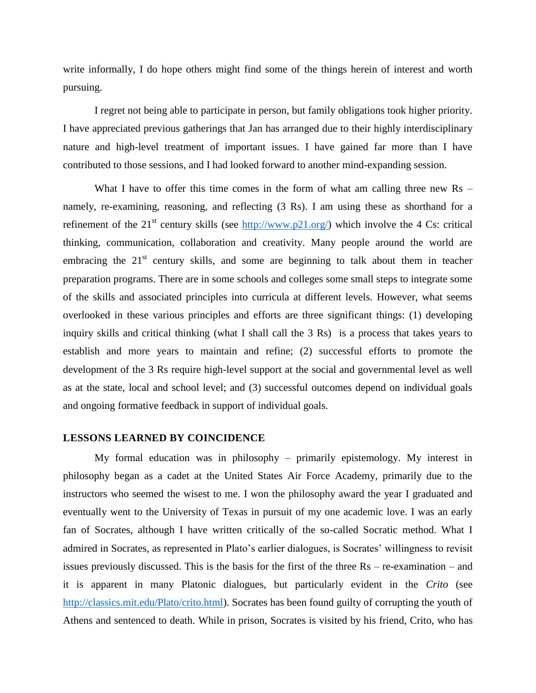write informally, I do hope others might find some of the things herein of interest and worth pursuing.

I regret not being able to participate in person, but family obligations took higher priority. I have appreciated previous gatherings that Jan has arranged due to their highly interdisciplinary nature and high-level treatment of important issues. I have gained far more than I have contributed to those sessions, and I had looked forward to another mind-expanding session.

What I have to offer this time comes in the form of what am calling three new Rs – namely, re-examining, reasoning, and reflecting (3 Rs). I am using these as shorthand for a refinement of the  $21^{st}$  century skills (see [http://www.p21.org/\)](http://www.p21.org/) which involve the 4 Cs: critical thinking, communication, collaboration and creativity. Many people around the world are embracing the  $21<sup>st</sup>$  century skills, and some are beginning to talk about them in teacher preparation programs. There are in some schools and colleges some small steps to integrate some of the skills and associated principles into curricula at different levels. However, what seems overlooked in these various principles and efforts are three significant things: (1) developing inquiry skills and critical thinking (what I shall call the 3 Rs) is a process that takes years to establish and more years to maintain and refine; (2) successful efforts to promote the development of the 3 Rs require high-level support at the social and governmental level as well as at the state, local and school level; and (3) successful outcomes depend on individual goals and ongoing formative feedback in support of individual goals.

### **LESSONS LEARNED BY COINCIDENCE**

My formal education was in philosophy – primarily epistemology. My interest in philosophy began as a cadet at the United States Air Force Academy, primarily due to the instructors who seemed the wisest to me. I won the philosophy award the year I graduated and eventually went to the University of Texas in pursuit of my one academic love. I was an early fan of Socrates, although I have written critically of the so-called Socratic method. What I admired in Socrates, as represented in Plato's earlier dialogues, is Socrates' willingness to revisit issues previously discussed. This is the basis for the first of the three Rs – re-examination – and it is apparent in many Platonic dialogues, but particularly evident in the *Crito* (see [http://classics.mit.edu/Plato/crito.html\)](http://classics.mit.edu/Plato/crito.html). Socrates has been found guilty of corrupting the youth of Athens and sentenced to death. While in prison, Socrates is visited by his friend, Crito, who has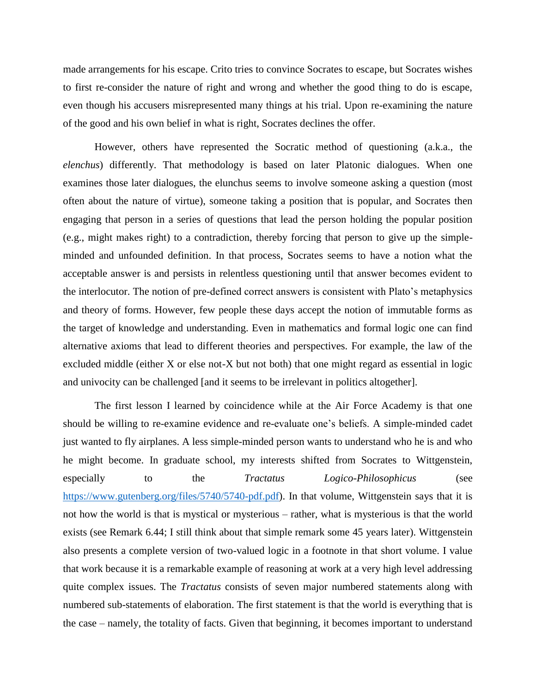made arrangements for his escape. Crito tries to convince Socrates to escape, but Socrates wishes to first re-consider the nature of right and wrong and whether the good thing to do is escape, even though his accusers misrepresented many things at his trial. Upon re-examining the nature of the good and his own belief in what is right, Socrates declines the offer.

However, others have represented the Socratic method of questioning (a.k.a., the *elenchus*) differently. That methodology is based on later Platonic dialogues. When one examines those later dialogues, the elunchus seems to involve someone asking a question (most often about the nature of virtue), someone taking a position that is popular, and Socrates then engaging that person in a series of questions that lead the person holding the popular position (e.g., might makes right) to a contradiction, thereby forcing that person to give up the simpleminded and unfounded definition. In that process, Socrates seems to have a notion what the acceptable answer is and persists in relentless questioning until that answer becomes evident to the interlocutor. The notion of pre-defined correct answers is consistent with Plato's metaphysics and theory of forms. However, few people these days accept the notion of immutable forms as the target of knowledge and understanding. Even in mathematics and formal logic one can find alternative axioms that lead to different theories and perspectives. For example, the law of the excluded middle (either X or else not-X but not both) that one might regard as essential in logic and univocity can be challenged [and it seems to be irrelevant in politics altogether].

The first lesson I learned by coincidence while at the Air Force Academy is that one should be willing to re-examine evidence and re-evaluate one's beliefs. A simple-minded cadet just wanted to fly airplanes. A less simple-minded person wants to understand who he is and who he might become. In graduate school, my interests shifted from Socrates to Wittgenstein, especially to the *Tractatus Logico-Philosophicus* (see [https://www.gutenberg.org/files/5740/5740-pdf.pdf\)](https://www.gutenberg.org/files/5740/5740-pdf.pdf). In that volume, Wittgenstein says that it is not how the world is that is mystical or mysterious – rather, what is mysterious is that the world exists (see Remark 6.44; I still think about that simple remark some 45 years later). Wittgenstein also presents a complete version of two-valued logic in a footnote in that short volume. I value that work because it is a remarkable example of reasoning at work at a very high level addressing quite complex issues. The *Tractatus* consists of seven major numbered statements along with numbered sub-statements of elaboration. The first statement is that the world is everything that is the case – namely, the totality of facts. Given that beginning, it becomes important to understand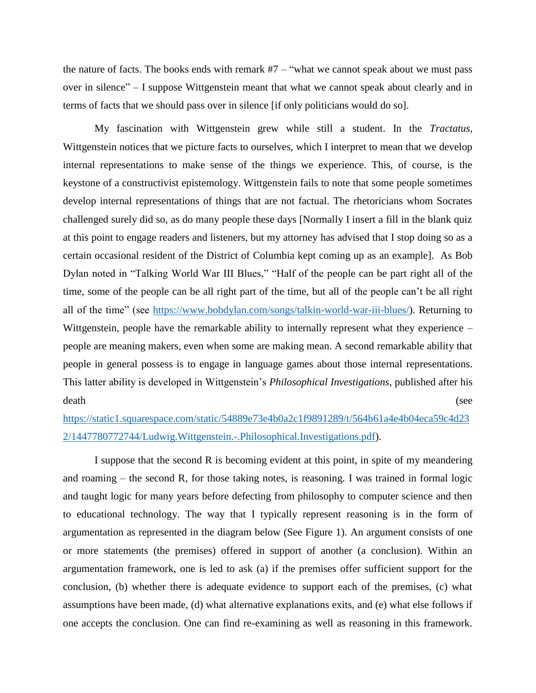the nature of facts. The books ends with remark #7 – "what we cannot speak about we must pass over in silence" – I suppose Wittgenstein meant that what we cannot speak about clearly and in terms of facts that we should pass over in silence [if only politicians would do so].

My fascination with Wittgenstein grew while still a student. In the *Tractatus*, Wittgenstein notices that we picture facts to ourselves, which I interpret to mean that we develop internal representations to make sense of the things we experience. This, of course, is the keystone of a constructivist epistemology. Wittgenstein fails to note that some people sometimes develop internal representations of things that are not factual. The rhetoricians whom Socrates challenged surely did so, as do many people these days [Normally I insert a fill in the blank quiz at this point to engage readers and listeners, but my attorney has advised that I stop doing so as a certain occasional resident of the District of Columbia kept coming up as an example]. As Bob Dylan noted in "Talking World War III Blues," "Half of the people can be part right all of the time, some of the people can be all right part of the time, but all of the people can't be all right all of the time" (see [https://www.bobdylan.com/songs/talkin-world-war-iii-blues/\)](https://www.bobdylan.com/songs/talkin-world-war-iii-blues/). Returning to Wittgenstein, people have the remarkable ability to internally represent what they experience – people are meaning makers, even when some are making mean. A second remarkable ability that people in general possess is to engage in language games about those internal representations. This latter ability is developed in Wittgenstein's *Philosophical Investigations*, published after his death (see

[https://static1.squarespace.com/static/54889e73e4b0a2c1f9891289/t/564b61a4e4b04eca59c4d23](https://static1.squarespace.com/static/54889e73e4b0a2c1f9891289/t/564b61a4e4b04eca59c4d232/1447780772744/Ludwig.Wittgenstein.-.Philosophical.Investigations.pdf) [2/1447780772744/Ludwig.Wittgenstein.-.Philosophical.Investigations.pdf\)](https://static1.squarespace.com/static/54889e73e4b0a2c1f9891289/t/564b61a4e4b04eca59c4d232/1447780772744/Ludwig.Wittgenstein.-.Philosophical.Investigations.pdf).

I suppose that the second R is becoming evident at this point, in spite of my meandering and roaming – the second R, for those taking notes, is reasoning. I was trained in formal logic and taught logic for many years before defecting from philosophy to computer science and then to educational technology. The way that I typically represent reasoning is in the form of argumentation as represented in the diagram below (See Figure 1). An argument consists of one or more statements (the premises) offered in support of another (a conclusion). Within an argumentation framework, one is led to ask (a) if the premises offer sufficient support for the conclusion, (b) whether there is adequate evidence to support each of the premises, (c) what assumptions have been made, (d) what alternative explanations exits, and (e) what else follows if one accepts the conclusion. One can find re-examining as well as reasoning in this framework.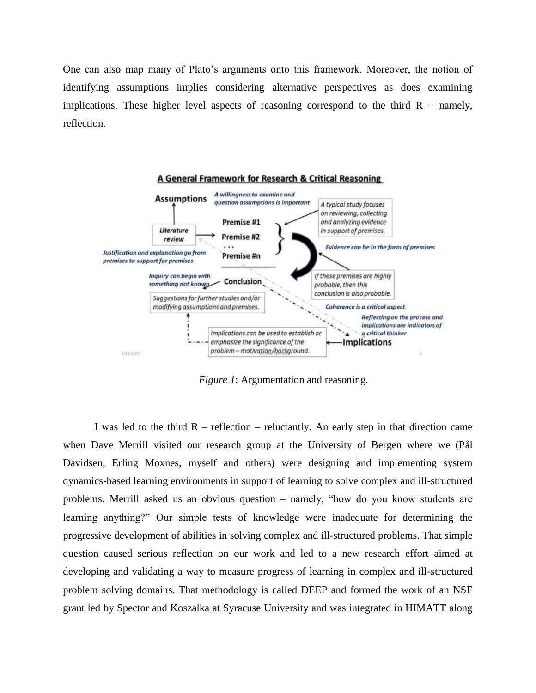One can also map many of Plato's arguments onto this framework. Moreover, the notion of identifying assumptions implies considering alternative perspectives as does examining implications. These higher level aspects of reasoning correspond to the third  $R$  – namely, reflection.



*Figure 1*: Argumentation and reasoning.

I was led to the third  $R$  – reflection – reluctantly. An early step in that direction came when Dave Merrill visited our research group at the University of Bergen where we (Pål Davidsen, Erling Moxnes, myself and others) were designing and implementing system dynamics-based learning environments in support of learning to solve complex and ill-structured problems. Merrill asked us an obvious question – namely, "how do you know students are learning anything?" Our simple tests of knowledge were inadequate for determining the progressive development of abilities in solving complex and ill-structured problems. That simple question caused serious reflection on our work and led to a new research effort aimed at developing and validating a way to measure progress of learning in complex and ill-structured problem solving domains. That methodology is called DEEP and formed the work of an NSF grant led by Spector and Koszalka at Syracuse University and was integrated in HIMATT along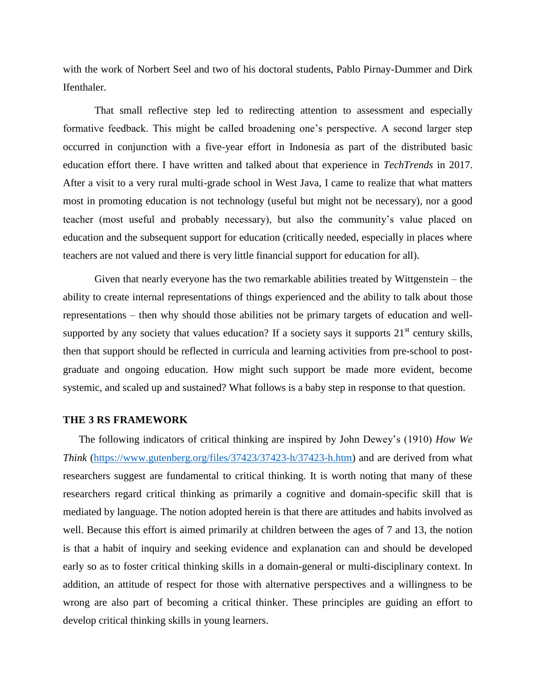with the work of Norbert Seel and two of his doctoral students, Pablo Pirnay-Dummer and Dirk Ifenthaler.

That small reflective step led to redirecting attention to assessment and especially formative feedback. This might be called broadening one's perspective. A second larger step occurred in conjunction with a five-year effort in Indonesia as part of the distributed basic education effort there. I have written and talked about that experience in *TechTrends* in 2017. After a visit to a very rural multi-grade school in West Java, I came to realize that what matters most in promoting education is not technology (useful but might not be necessary), nor a good teacher (most useful and probably necessary), but also the community's value placed on education and the subsequent support for education (critically needed, especially in places where teachers are not valued and there is very little financial support for education for all).

Given that nearly everyone has the two remarkable abilities treated by Wittgenstein – the ability to create internal representations of things experienced and the ability to talk about those representations – then why should those abilities not be primary targets of education and wellsupported by any society that values education? If a society says it supports  $21<sup>st</sup>$  century skills, then that support should be reflected in curricula and learning activities from pre-school to postgraduate and ongoing education. How might such support be made more evident, become systemic, and scaled up and sustained? What follows is a baby step in response to that question.

### **THE 3 RS FRAMEWORK**

The following indicators of critical thinking are inspired by John Dewey's (1910) *How We Think* [\(https://www.gutenberg.org/files/37423/37423-h/37423-h.htm\)](https://www.gutenberg.org/files/37423/37423-h/37423-h.htm) and are derived from what researchers suggest are fundamental to critical thinking. It is worth noting that many of these researchers regard critical thinking as primarily a cognitive and domain-specific skill that is mediated by language. The notion adopted herein is that there are attitudes and habits involved as well. Because this effort is aimed primarily at children between the ages of 7 and 13, the notion is that a habit of inquiry and seeking evidence and explanation can and should be developed early so as to foster critical thinking skills in a domain-general or multi-disciplinary context. In addition, an attitude of respect for those with alternative perspectives and a willingness to be wrong are also part of becoming a critical thinker. These principles are guiding an effort to develop critical thinking skills in young learners.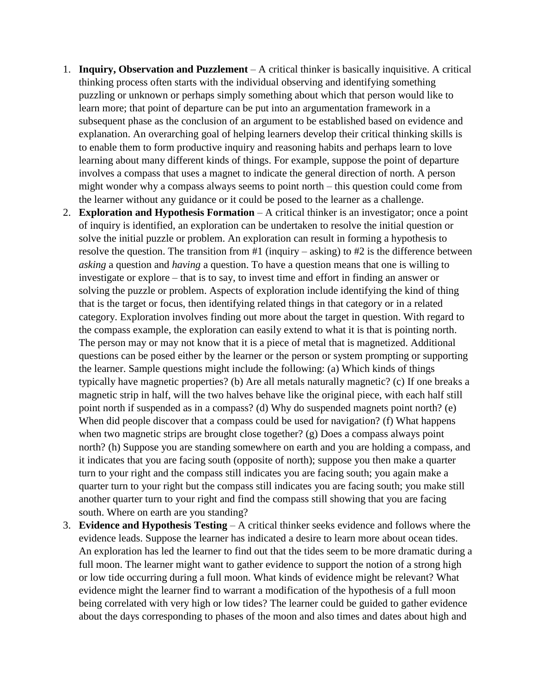- 1. **Inquiry, Observation and Puzzlement** A critical thinker is basically inquisitive. A critical thinking process often starts with the individual observing and identifying something puzzling or unknown or perhaps simply something about which that person would like to learn more; that point of departure can be put into an argumentation framework in a subsequent phase as the conclusion of an argument to be established based on evidence and explanation. An overarching goal of helping learners develop their critical thinking skills is to enable them to form productive inquiry and reasoning habits and perhaps learn to love learning about many different kinds of things. For example, suppose the point of departure involves a compass that uses a magnet to indicate the general direction of north. A person might wonder why a compass always seems to point north – this question could come from the learner without any guidance or it could be posed to the learner as a challenge.
- 2. **Exploration and Hypothesis Formation** A critical thinker is an investigator; once a point of inquiry is identified, an exploration can be undertaken to resolve the initial question or solve the initial puzzle or problem. An exploration can result in forming a hypothesis to resolve the question. The transition from #1 (inquiry – asking) to #2 is the difference between *asking* a question and *having* a question. To have a question means that one is willing to investigate or explore – that is to say, to invest time and effort in finding an answer or solving the puzzle or problem. Aspects of exploration include identifying the kind of thing that is the target or focus, then identifying related things in that category or in a related category. Exploration involves finding out more about the target in question. With regard to the compass example, the exploration can easily extend to what it is that is pointing north. The person may or may not know that it is a piece of metal that is magnetized. Additional questions can be posed either by the learner or the person or system prompting or supporting the learner. Sample questions might include the following: (a) Which kinds of things typically have magnetic properties? (b) Are all metals naturally magnetic? (c) If one breaks a magnetic strip in half, will the two halves behave like the original piece, with each half still point north if suspended as in a compass? (d) Why do suspended magnets point north? (e) When did people discover that a compass could be used for navigation? (f) What happens when two magnetic strips are brought close together? (g) Does a compass always point north? (h) Suppose you are standing somewhere on earth and you are holding a compass, and it indicates that you are facing south (opposite of north); suppose you then make a quarter turn to your right and the compass still indicates you are facing south; you again make a quarter turn to your right but the compass still indicates you are facing south; you make still another quarter turn to your right and find the compass still showing that you are facing south. Where on earth are you standing?
- 3. **Evidence and Hypothesis Testing** A critical thinker seeks evidence and follows where the evidence leads. Suppose the learner has indicated a desire to learn more about ocean tides. An exploration has led the learner to find out that the tides seem to be more dramatic during a full moon. The learner might want to gather evidence to support the notion of a strong high or low tide occurring during a full moon. What kinds of evidence might be relevant? What evidence might the learner find to warrant a modification of the hypothesis of a full moon being correlated with very high or low tides? The learner could be guided to gather evidence about the days corresponding to phases of the moon and also times and dates about high and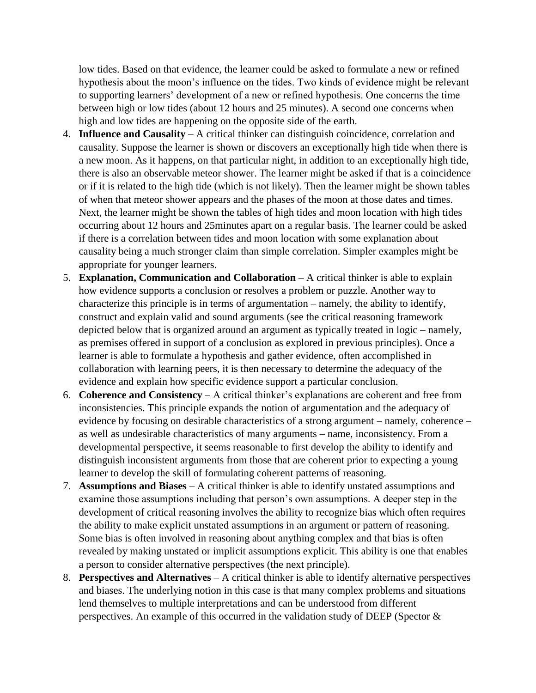low tides. Based on that evidence, the learner could be asked to formulate a new or refined hypothesis about the moon's influence on the tides. Two kinds of evidence might be relevant to supporting learners' development of a new or refined hypothesis. One concerns the time between high or low tides (about 12 hours and 25 minutes). A second one concerns when high and low tides are happening on the opposite side of the earth.

- 4. **Influence and Causality** A critical thinker can distinguish coincidence, correlation and causality. Suppose the learner is shown or discovers an exceptionally high tide when there is a new moon. As it happens, on that particular night, in addition to an exceptionally high tide, there is also an observable meteor shower. The learner might be asked if that is a coincidence or if it is related to the high tide (which is not likely). Then the learner might be shown tables of when that meteor shower appears and the phases of the moon at those dates and times. Next, the learner might be shown the tables of high tides and moon location with high tides occurring about 12 hours and 25minutes apart on a regular basis. The learner could be asked if there is a correlation between tides and moon location with some explanation about causality being a much stronger claim than simple correlation. Simpler examples might be appropriate for younger learners.
- 5. **Explanation, Communication and Collaboration** A critical thinker is able to explain how evidence supports a conclusion or resolves a problem or puzzle. Another way to characterize this principle is in terms of argumentation – namely, the ability to identify, construct and explain valid and sound arguments (see the critical reasoning framework depicted below that is organized around an argument as typically treated in logic – namely, as premises offered in support of a conclusion as explored in previous principles). Once a learner is able to formulate a hypothesis and gather evidence, often accomplished in collaboration with learning peers, it is then necessary to determine the adequacy of the evidence and explain how specific evidence support a particular conclusion.
- 6. **Coherence and Consistency** A critical thinker's explanations are coherent and free from inconsistencies. This principle expands the notion of argumentation and the adequacy of evidence by focusing on desirable characteristics of a strong argument – namely, coherence – as well as undesirable characteristics of many arguments – name, inconsistency. From a developmental perspective, it seems reasonable to first develop the ability to identify and distinguish inconsistent arguments from those that are coherent prior to expecting a young learner to develop the skill of formulating coherent patterns of reasoning.
- 7. **Assumptions and Biases** A critical thinker is able to identify unstated assumptions and examine those assumptions including that person's own assumptions. A deeper step in the development of critical reasoning involves the ability to recognize bias which often requires the ability to make explicit unstated assumptions in an argument or pattern of reasoning. Some bias is often involved in reasoning about anything complex and that bias is often revealed by making unstated or implicit assumptions explicit. This ability is one that enables a person to consider alternative perspectives (the next principle).
- 8. **Perspectives and Alternatives** A critical thinker is able to identify alternative perspectives and biases. The underlying notion in this case is that many complex problems and situations lend themselves to multiple interpretations and can be understood from different perspectives. An example of this occurred in the validation study of DEEP (Spector &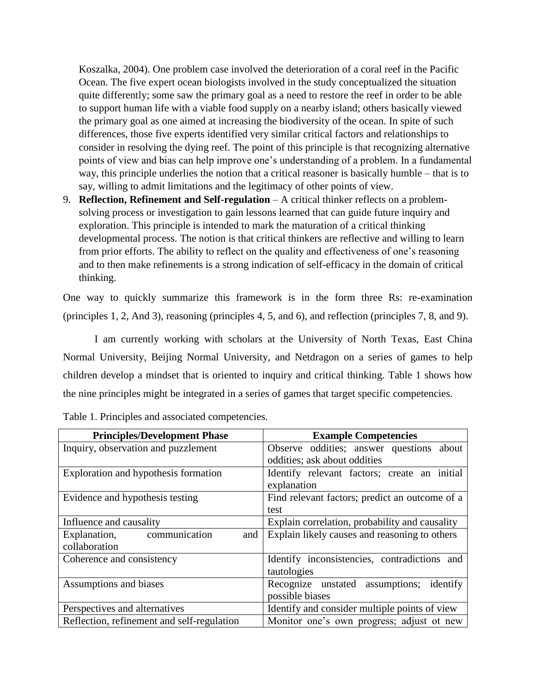Koszalka, 2004). One problem case involved the deterioration of a coral reef in the Pacific Ocean. The five expert ocean biologists involved in the study conceptualized the situation quite differently; some saw the primary goal as a need to restore the reef in order to be able to support human life with a viable food supply on a nearby island; others basically viewed the primary goal as one aimed at increasing the biodiversity of the ocean. In spite of such differences, those five experts identified very similar critical factors and relationships to consider in resolving the dying reef. The point of this principle is that recognizing alternative points of view and bias can help improve one's understanding of a problem. In a fundamental way, this principle underlies the notion that a critical reasoner is basically humble – that is to say, willing to admit limitations and the legitimacy of other points of view.

9. **Reflection, Refinement and Self-regulation** – A critical thinker reflects on a problemsolving process or investigation to gain lessons learned that can guide future inquiry and exploration. This principle is intended to mark the maturation of a critical thinking developmental process. The notion is that critical thinkers are reflective and willing to learn from prior efforts. The ability to reflect on the quality and effectiveness of one's reasoning and to then make refinements is a strong indication of self-efficacy in the domain of critical thinking.

One way to quickly summarize this framework is in the form three Rs: re-examination (principles 1, 2, And 3), reasoning (principles 4, 5, and 6), and reflection (principles 7, 8, and 9).

I am currently working with scholars at the University of North Texas, East China Normal University, Beijing Normal University, and Netdragon on a series of games to help children develop a mindset that is oriented to inquiry and critical thinking. Table 1 shows how the nine principles might be integrated in a series of games that target specific competencies.

| <b>Principles/Development Phase</b>        | <b>Example Competencies</b>                    |  |  |
|--------------------------------------------|------------------------------------------------|--|--|
| Inquiry, observation and puzzlement        | Observe oddities; answer questions about       |  |  |
|                                            | oddities; ask about oddities                   |  |  |
| Exploration and hypothesis formation       | Identify relevant factors; create an initial   |  |  |
|                                            | explanation                                    |  |  |
| Evidence and hypothesis testing            | Find relevant factors; predict an outcome of a |  |  |
|                                            | test                                           |  |  |
| Influence and causality                    | Explain correlation, probability and causality |  |  |
| Explanation, communication<br>and          | Explain likely causes and reasoning to others  |  |  |
| collaboration                              |                                                |  |  |
| Coherence and consistency                  | Identify inconsistencies, contradictions and   |  |  |
|                                            | tautologies                                    |  |  |
| Assumptions and biases                     | Recognize unstated<br>assumptions; identify    |  |  |
|                                            | possible biases                                |  |  |
| Perspectives and alternatives              | Identify and consider multiple points of view  |  |  |
| Reflection, refinement and self-regulation | Monitor one's own progress; adjust ot new      |  |  |

|  | Table 1. Principles and associated competencies. |  |
|--|--------------------------------------------------|--|
|  |                                                  |  |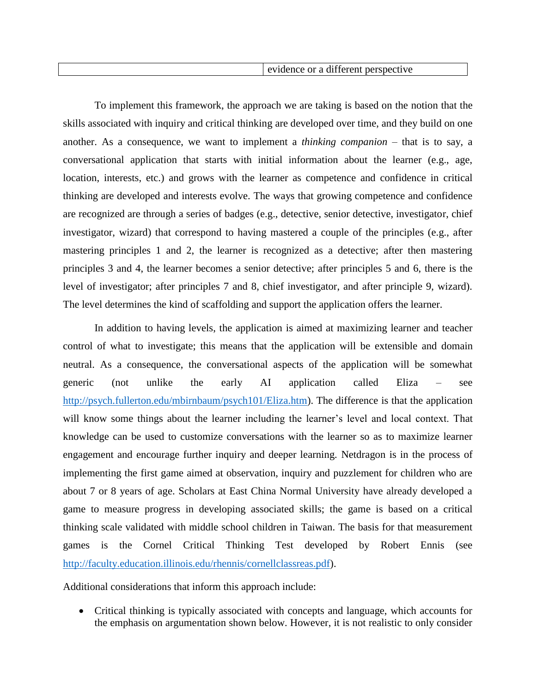evidence or a different perspective

To implement this framework, the approach we are taking is based on the notion that the skills associated with inquiry and critical thinking are developed over time, and they build on one another. As a consequence, we want to implement a *thinking companion* – that is to say, a conversational application that starts with initial information about the learner (e.g., age, location, interests, etc.) and grows with the learner as competence and confidence in critical thinking are developed and interests evolve. The ways that growing competence and confidence are recognized are through a series of badges (e.g., detective, senior detective, investigator, chief investigator, wizard) that correspond to having mastered a couple of the principles (e.g., after mastering principles 1 and 2, the learner is recognized as a detective; after then mastering principles 3 and 4, the learner becomes a senior detective; after principles 5 and 6, there is the level of investigator; after principles 7 and 8, chief investigator, and after principle 9, wizard). The level determines the kind of scaffolding and support the application offers the learner.

In addition to having levels, the application is aimed at maximizing learner and teacher control of what to investigate; this means that the application will be extensible and domain neutral. As a consequence, the conversational aspects of the application will be somewhat generic (not unlike the early AI application called Eliza – see [http://psych.fullerton.edu/mbirnbaum/psych101/Eliza.htm\)](http://psych.fullerton.edu/mbirnbaum/psych101/Eliza.htm). The difference is that the application will know some things about the learner including the learner's level and local context. That knowledge can be used to customize conversations with the learner so as to maximize learner engagement and encourage further inquiry and deeper learning. Netdragon is in the process of implementing the first game aimed at observation, inquiry and puzzlement for children who are about 7 or 8 years of age. Scholars at East China Normal University have already developed a game to measure progress in developing associated skills; the game is based on a critical thinking scale validated with middle school children in Taiwan. The basis for that measurement games is the Cornel Critical Thinking Test developed by Robert Ennis (see [http://faculty.education.illinois.edu/rhennis/cornellclassreas.pdf\)](http://faculty.education.illinois.edu/rhennis/cornellclassreas.pdf).

Additional considerations that inform this approach include:

 Critical thinking is typically associated with concepts and language, which accounts for the emphasis on argumentation shown below. However, it is not realistic to only consider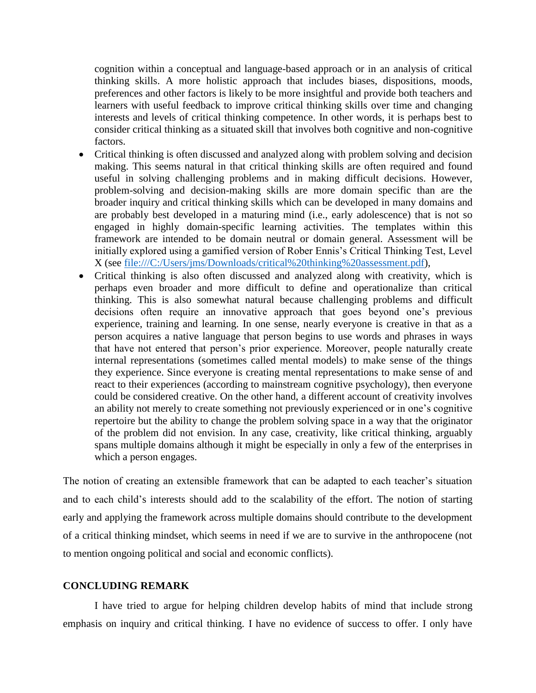cognition within a conceptual and language-based approach or in an analysis of critical thinking skills. A more holistic approach that includes biases, dispositions, moods, preferences and other factors is likely to be more insightful and provide both teachers and learners with useful feedback to improve critical thinking skills over time and changing interests and levels of critical thinking competence. In other words, it is perhaps best to consider critical thinking as a situated skill that involves both cognitive and non-cognitive factors.

- Critical thinking is often discussed and analyzed along with problem solving and decision making. This seems natural in that critical thinking skills are often required and found useful in solving challenging problems and in making difficult decisions. However, problem-solving and decision-making skills are more domain specific than are the broader inquiry and critical thinking skills which can be developed in many domains and are probably best developed in a maturing mind (i.e., early adolescence) that is not so engaged in highly domain-specific learning activities. The templates within this framework are intended to be domain neutral or domain general. Assessment will be initially explored using a gamified version of Rober Ennis's Critical Thinking Test, Level X (see [file:///C:/Users/jms/Downloads/critical%20thinking%20assessment.pdf\)](file:///C:/Users/jms/Downloads/critical%20thinking%20assessment.pdf),
- Critical thinking is also often discussed and analyzed along with creativity, which is perhaps even broader and more difficult to define and operationalize than critical thinking. This is also somewhat natural because challenging problems and difficult decisions often require an innovative approach that goes beyond one's previous experience, training and learning. In one sense, nearly everyone is creative in that as a person acquires a native language that person begins to use words and phrases in ways that have not entered that person's prior experience. Moreover, people naturally create internal representations (sometimes called mental models) to make sense of the things they experience. Since everyone is creating mental representations to make sense of and react to their experiences (according to mainstream cognitive psychology), then everyone could be considered creative. On the other hand, a different account of creativity involves an ability not merely to create something not previously experienced or in one's cognitive repertoire but the ability to change the problem solving space in a way that the originator of the problem did not envision. In any case, creativity, like critical thinking, arguably spans multiple domains although it might be especially in only a few of the enterprises in which a person engages.

The notion of creating an extensible framework that can be adapted to each teacher's situation and to each child's interests should add to the scalability of the effort. The notion of starting early and applying the framework across multiple domains should contribute to the development of a critical thinking mindset, which seems in need if we are to survive in the anthropocene (not to mention ongoing political and social and economic conflicts).

#### **CONCLUDING REMARK**

I have tried to argue for helping children develop habits of mind that include strong emphasis on inquiry and critical thinking. I have no evidence of success to offer. I only have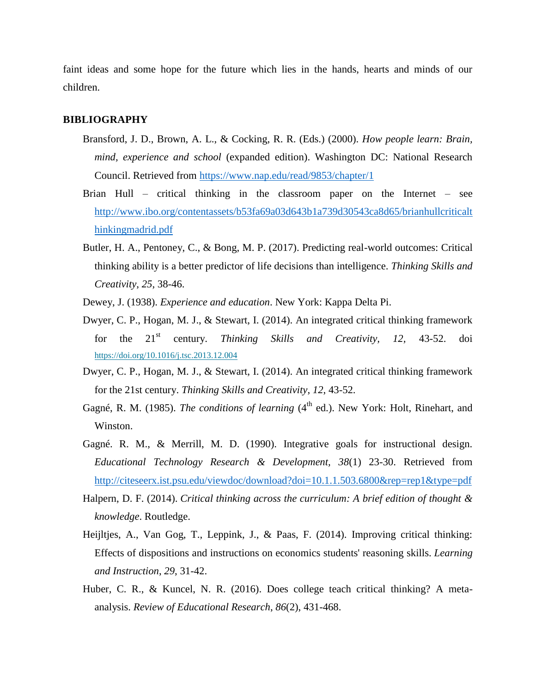faint ideas and some hope for the future which lies in the hands, hearts and minds of our children.

#### **BIBLIOGRAPHY**

- Bransford, J. D., Brown, A. L., & Cocking, R. R. (Eds.) (2000). *How people learn: Brain, mind, experience and school* (expanded edition). Washington DC: National Research Council. Retrieved from<https://www.nap.edu/read/9853/chapter/1>
- Brian Hull critical thinking in the classroom paper on the Internet see [http://www.ibo.org/contentassets/b53fa69a03d643b1a739d30543ca8d65/brianhullcriticalt](http://www.ibo.org/contentassets/b53fa69a03d643b1a739d30543ca8d65/brianhullcriticalthinkingmadrid.pdf) [hinkingmadrid.pdf](http://www.ibo.org/contentassets/b53fa69a03d643b1a739d30543ca8d65/brianhullcriticalthinkingmadrid.pdf)
- Butler, H. A., Pentoney, C., & Bong, M. P. (2017). Predicting real-world outcomes: Critical thinking ability is a better predictor of life decisions than intelligence. *Thinking Skills and Creativity*, *25*, 38-46.
- Dewey, J. (1938). *Experience and education*. New York: Kappa Delta Pi.
- Dwyer, C. P., Hogan, M. J., & Stewart, I. (2014). An integrated critical thinking framework for the 21st century. *Thinking Skills and Creativity, 12,* 43-52. doi <https://doi.org/10.1016/j.tsc.2013.12.004>
- Dwyer, C. P., Hogan, M. J., & Stewart, I. (2014). An integrated critical thinking framework for the 21st century. *Thinking Skills and Creativity*, *12*, 43-52.
- Gagné, R. M. (1985). *The conditions of learning* (4<sup>th</sup> ed.). New York: Holt, Rinehart, and Winston.
- Gagné. R. M., & Merrill, M. D. (1990). Integrative goals for instructional design. *Educational Technology Research & Development, 38*(1) 23-30. Retrieved from <http://citeseerx.ist.psu.edu/viewdoc/download?doi=10.1.1.503.6800&rep=rep1&type=pdf>
- Halpern, D. F. (2014). *Critical thinking across the curriculum: A brief edition of thought & knowledge*. Routledge.
- Heijltjes, A., Van Gog, T., Leppink, J., & Paas, F. (2014). Improving critical thinking: Effects of dispositions and instructions on economics students' reasoning skills. *Learning and Instruction*, *29*, 31-42.
- Huber, C. R., & Kuncel, N. R. (2016). Does college teach critical thinking? A metaanalysis. *Review of Educational Research*, *86*(2), 431-468.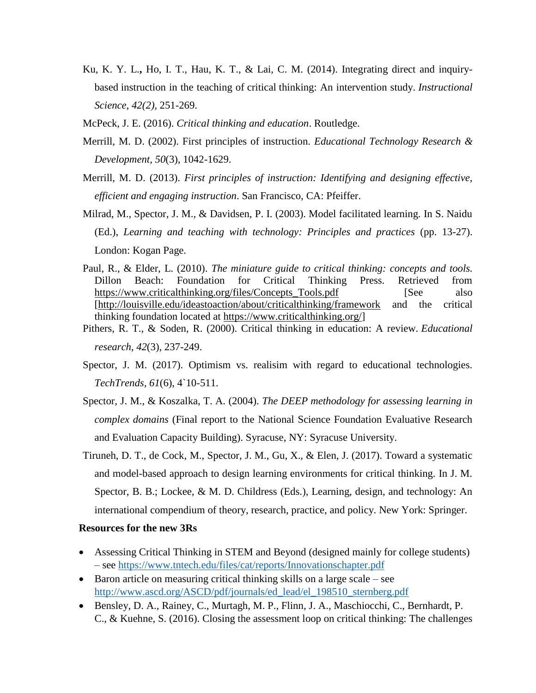- Ku, K. Y. L.**,** Ho, I. T., Hau, K. T., & Lai, C. M. (2014). Integrating direct and inquirybased instruction in the teaching of critical thinking: An intervention study. *Instructional Science, 42(2),* 251-269.
- McPeck, J. E. (2016). *Critical thinking and education*. Routledge.
- Merrill, M. D. (2002). First principles of instruction. *Educational Technology Research & Development, 50*(3), 1042-1629.
- Merrill, M. D. (2013). *First principles of instruction: Identifying and designing effective, efficient and engaging instruction*. San Francisco, CA: Pfeiffer.
- Milrad, M., Spector, J. M., & Davidsen, P. I. (2003). Model facilitated learning. In S. Naidu (Ed.), *Learning and teaching with technology: Principles and practices* (pp. 13-27). London: Kogan Page.
- Paul, R., & Elder, L. (2010). *The miniature guide to critical thinking: concepts and tools.* Dillon Beach: Foundation for Critical Thinking Press. Retrieved from https://www.criticalthinking.org/files/Concepts Tools.pdf [See also [\[http://louisville.edu/ideastoaction/about/criticalthinking/framework](http://louisville.edu/ideastoaction/about/criticalthinking/framework) and the critical thinking foundation located at [https://www.criticalthinking.org/\]](https://www.criticalthinking.org/)
- Pithers, R. T., & Soden, R. (2000). Critical thinking in education: A review. *Educational research*, *42*(3), 237-249.
- Spector, J. M. (2017). Optimism vs. realisim with regard to educational technologies. *TechTrends, 61*(6), 4`10-511.
- Spector, J. M., & Koszalka, T. A. (2004). *The DEEP methodology for assessing learning in complex domains* (Final report to the National Science Foundation Evaluative Research and Evaluation Capacity Building). Syracuse, NY: Syracuse University.
- Tiruneh, D. T., de Cock, M., Spector, J. M., Gu, X., & Elen, J. (2017). Toward a systematic and model-based approach to design learning environments for critical thinking. In J. M. Spector, B. B.; Lockee, & M. D. Childress (Eds.), Learning, design, and technology: An international compendium of theory, research, practice, and policy. New York: Springer.

#### **Resources for the new 3Rs**

- Assessing Critical Thinking in STEM and Beyond (designed mainly for college students) – see<https://www.tntech.edu/files/cat/reports/Innovationschapter.pdf>
- Baron article on measuring critical thinking skills on a large scale see [http://www.ascd.org/ASCD/pdf/journals/ed\\_lead/el\\_198510\\_sternberg.pdf](http://www.ascd.org/ASCD/pdf/journals/ed_lead/el_198510_sternberg.pdf)
- Bensley, D. A., Rainey, C., Murtagh, M. P., Flinn, J. A., Maschiocchi, C., Bernhardt, P. C., & Kuehne, S. (2016). Closing the assessment loop on critical thinking: The challenges